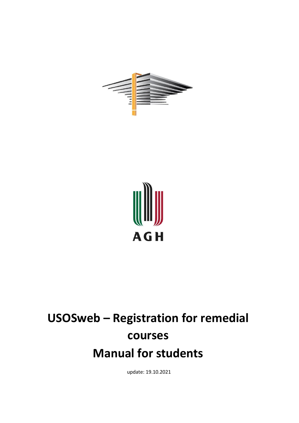



# **USOSweb – Registration for remedial courses Manual for students**

update: 19.10.2021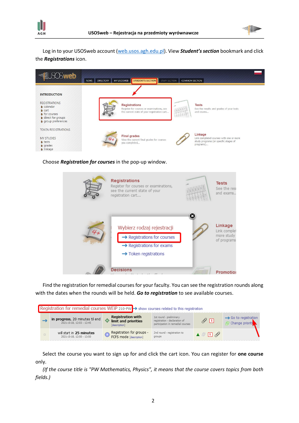



Log in to your USOSweb account [\(web.usos.agh.edu.pl\)](https://web.usos.agh.edu.pl/). View *Student's section* bookmark and click the *Registrations* icon.



#### Choose *Registration for courses* in the pop-up window.



Find the registration for remedial courses for your faculty. You can see the registration rounds along with the dates when the rounds will be held. *Go to registration* to see available courses.

| Registration for remedial courses WEiP 210-PW → show courses related to this registration |  |                                                              |                                                                   |                                                                                               |                                                    |                                                     |  |  |  |
|-------------------------------------------------------------------------------------------|--|--------------------------------------------------------------|-------------------------------------------------------------------|-----------------------------------------------------------------------------------------------|----------------------------------------------------|-----------------------------------------------------|--|--|--|
|                                                                                           |  | in progress, 20 minutes til end<br>2021-10-18, 12:03 - 12:45 | <b>Registration with</b><br>limit and priorities<br>[description] | 1st round - preliminary<br>registration - declaration of<br>participation in remedial courses | $\mathscr{U}$ $\Box$                               | $\rightarrow$ Go to registration<br>Change prioriti |  |  |  |
|                                                                                           |  | will start in 25 minutes<br>2021-10-18, 12:50 - 13:50        | Registration for groups -<br>FCFS mode [description]              | 2nd round - registration to<br>groups                                                         | $\blacktriangle \stackrel{\circ}{\otimes} \square$ |                                                     |  |  |  |

Select the course you want to sign up for and click the cart icon. You can register for **one course** only.

*(If the course title is "PW Mathematics, Physics", it means that the course covers topics from both fields.)*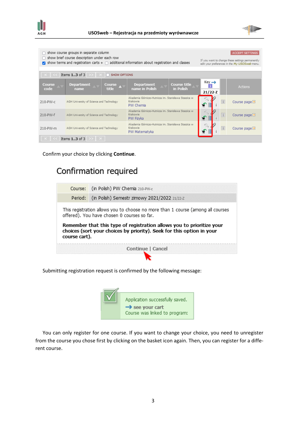



| show course groups in separate column<br>ACCEPT SETTINGS<br>show brief course description under each row<br>If you want to change these settings permanently<br>show terms and registration carts $+ \cap$ additional information about registration and classes<br>edit your preferences in the My USOSweb menu. |                                          |                        |                                                                                          |                                  |                                |                            |                            |  |  |
|-------------------------------------------------------------------------------------------------------------------------------------------------------------------------------------------------------------------------------------------------------------------------------------------------------------------|------------------------------------------|------------------------|------------------------------------------------------------------------------------------|----------------------------------|--------------------------------|----------------------------|----------------------------|--|--|
| Items 13 of 3<br>SHOW OPTIONS                                                                                                                                                                                                                                                                                     |                                          |                        |                                                                                          |                                  |                                |                            |                            |  |  |
| Course<br>code                                                                                                                                                                                                                                                                                                    | <b>Department</b><br>name                | <b>Course</b><br>title | <b>Department</b><br>name in Polish                                                      | <b>Course title</b><br>in Polish | $Key \rightarrow$<br>$21/22-Z$ |                            | <b>Actions</b>             |  |  |
| 210-PW-c                                                                                                                                                                                                                                                                                                          | AGH University of Science and Technology |                        | Akademia Górniczo-Hutnicza im. Stanisława Staszica w<br>Krakowie<br>PW Chemia            |                                  | ۴                              | i                          | Course page $\blacksquare$ |  |  |
| 210-PW-f                                                                                                                                                                                                                                                                                                          | AGH University of Science and Technology |                        | Akademia Górniczo-Hutnicza im, Stanisława Staszica w<br>Krakowie<br>PW Fizyka            |                                  | ÷                              |                            | Course page $\blacksquare$ |  |  |
| AGH University of Science and Technology<br>210-PW-m                                                                                                                                                                                                                                                              |                                          |                        | Akademia Górniczo-Hutnicza im. Stanisława Staszica w<br> i <br>Krakowie<br>PW Matematyka |                                  |                                | Course page $\blacksquare$ |                            |  |  |
| Items $13$ of $3$                                                                                                                                                                                                                                                                                                 |                                          |                        |                                                                                          |                                  |                                |                            |                            |  |  |

Confirm your choice by clicking **Continue**.

## Confirmation required

| Course: (in Polish) PW Chemia 210-PW-c                                                                                         |                                                                                                                                                |  |  |  |  |  |  |  |
|--------------------------------------------------------------------------------------------------------------------------------|------------------------------------------------------------------------------------------------------------------------------------------------|--|--|--|--|--|--|--|
|                                                                                                                                | Period: (in Polish) Semestr zimowy 2021/2022 21/22-2                                                                                           |  |  |  |  |  |  |  |
| This registration allows you to choose no more than 1 course (among all courses<br>offered). You have chosen 0 courses so far. |                                                                                                                                                |  |  |  |  |  |  |  |
| course cart).                                                                                                                  | Remember that this type of registration allows you to prioritize your<br>choices (sort your choices by priority). Seek for this option in your |  |  |  |  |  |  |  |
|                                                                                                                                | Continue   Cancel                                                                                                                              |  |  |  |  |  |  |  |
|                                                                                                                                |                                                                                                                                                |  |  |  |  |  |  |  |

Submitting registration request is confirmed by the following message:



You can only register for one course. If you want to change your choice, you need to unregister from the course you chose first by clicking on the basket icon again. Then, you can register for a different course.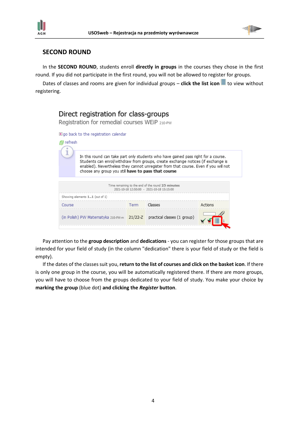



### **SECOND ROUND**

In the **SECOND ROUND**, students enroll **directly in groups** in the courses they chose in the first round. If you did not participate in the first round, you will not be allowed to register for groups.

Dates of classes and rooms are given for individual groups – **click the list icon** to view without registering.

| Direct registration for class-groups<br>Registration for remedial courses WEiP 210-PW |                                                                                                                                                                                                                                                                |      |         |         |  |  |  |  |  |
|---------------------------------------------------------------------------------------|----------------------------------------------------------------------------------------------------------------------------------------------------------------------------------------------------------------------------------------------------------------|------|---------|---------|--|--|--|--|--|
|                                                                                       | <b>E</b> go back to the registration calendar                                                                                                                                                                                                                  |      |         |         |  |  |  |  |  |
| <i>图</i> refresh                                                                      |                                                                                                                                                                                                                                                                |      |         |         |  |  |  |  |  |
|                                                                                       | In this round can take part only students who have gained pass right for a course.<br>Students can enrol/withdraw from groups, create exchange notices (if exchange is<br>enabled). Nevertheless they cannot unregister from that course. Even if you will not |      |         |         |  |  |  |  |  |
|                                                                                       |                                                                                                                                                                                                                                                                |      |         |         |  |  |  |  |  |
| Showing elements 11 (out of 1)                                                        |                                                                                                                                                                                                                                                                |      |         |         |  |  |  |  |  |
| Course                                                                                |                                                                                                                                                                                                                                                                | Term | Classes | Actions |  |  |  |  |  |
|                                                                                       | (in Polish) PW Matematyka 210-PW-m 21/22-Z practical classes (1 group)                                                                                                                                                                                         |      |         |         |  |  |  |  |  |
|                                                                                       |                                                                                                                                                                                                                                                                |      |         |         |  |  |  |  |  |

Pay attention to the **group description** and **dedications** - you can register for those groups that are intended for your field of study (in the column "dedication" there is your field of study or the field is empty).

If the dates of the classes suit you, **return to the list of courses and click on the basket icon**. If there is only one group in the course, you will be automatically registered there. If there are more groups, you will have to choose from the groups dedicated to your field of study. You make your choice by **marking the group** (blue dot) **and clicking the** *Register* **button**.